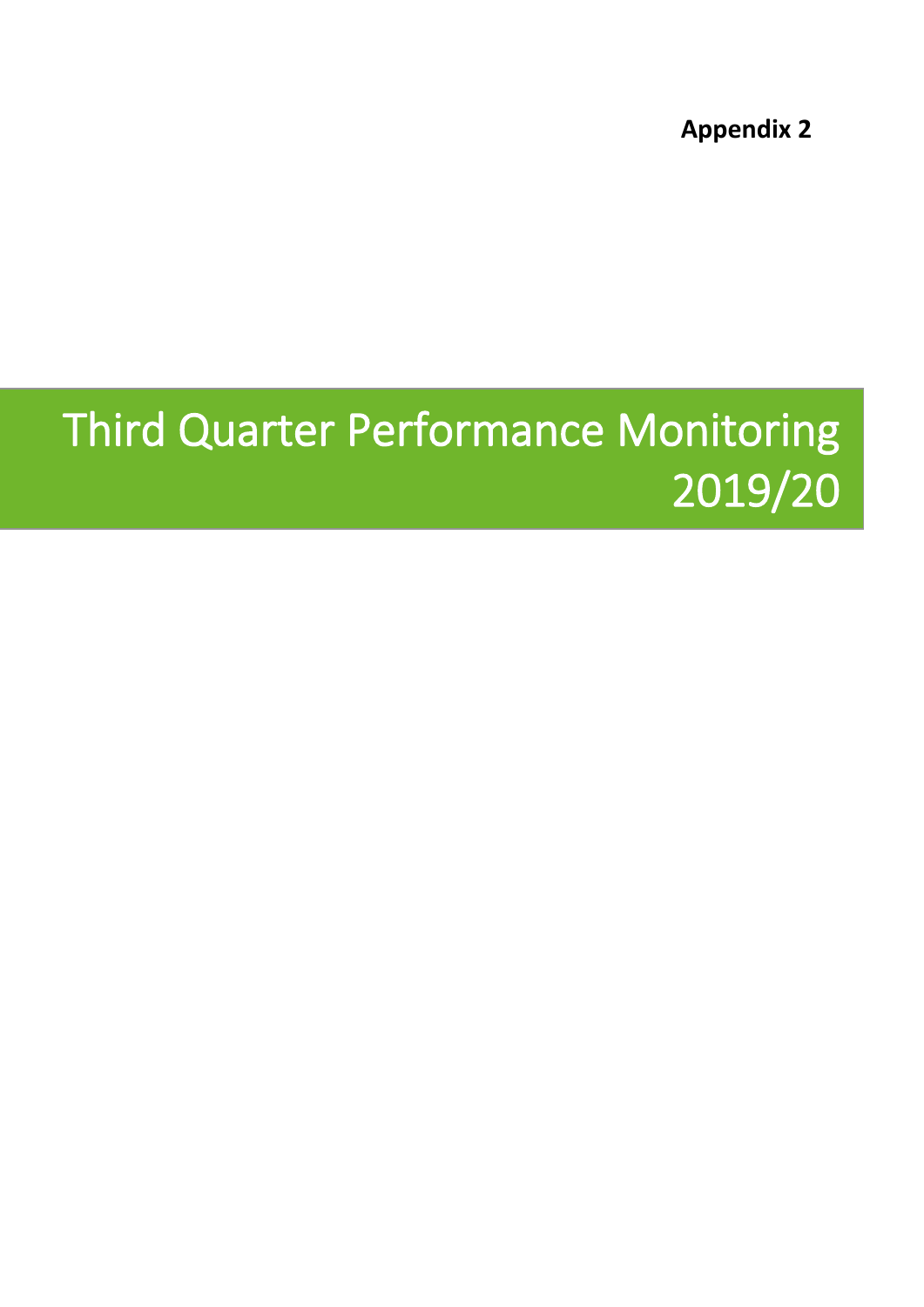**Appendix 2**

# **Third Quarter Performance Monitoring 2019/20**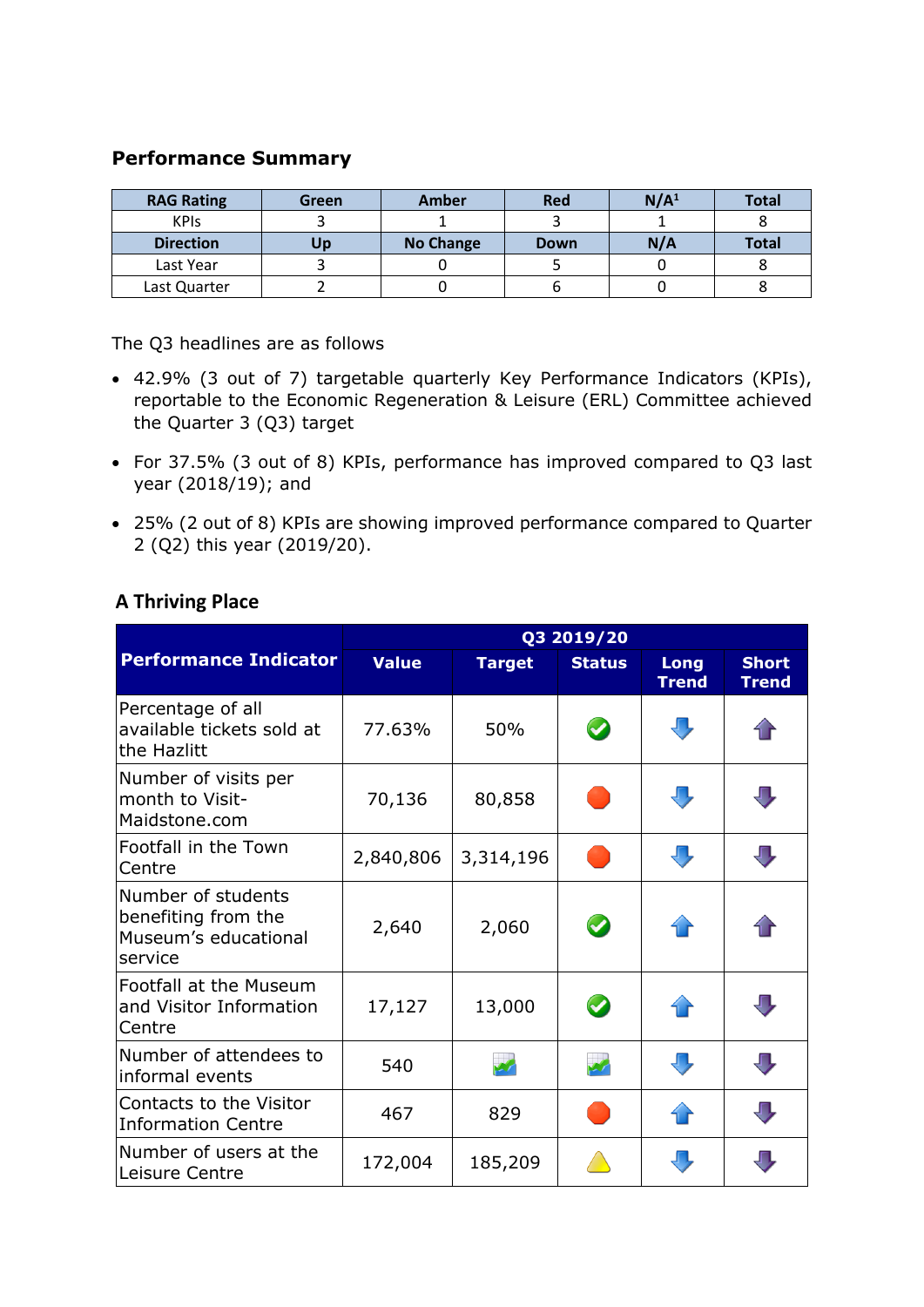## **Performance Summary**

| <b>RAG Rating</b> | Green | Amber            | <b>Red</b>  | N/A <sup>1</sup> | <b>Total</b> |
|-------------------|-------|------------------|-------------|------------------|--------------|
| <b>KPIS</b>       |       |                  |             |                  |              |
| <b>Direction</b>  | Up    | <b>No Change</b> | <b>Down</b> | N/A              | Total        |
| Last Year         |       |                  |             |                  |              |
| Last Quarter      |       |                  |             |                  |              |

The Q3 headlines are as follows

- 42.9% (3 out of 7) targetable quarterly Key Performance Indicators (KPIs), reportable to the Economic Regeneration & Leisure (ERL) Committee achieved the Quarter 3 (Q3) target
- For 37.5% (3 out of 8) KPIs, performance has improved compared to Q3 last year (2018/19); and
- 25% (2 out of 8) KPIs are showing improved performance compared to Quarter 2 (Q2) this year (2019/20).

|                                                                              | Q3 2019/20   |               |                       |                      |                              |  |
|------------------------------------------------------------------------------|--------------|---------------|-----------------------|----------------------|------------------------------|--|
| <b>Performance Indicator</b>                                                 | <b>Value</b> | <b>Target</b> | <b>Status</b>         | Long<br><b>Trend</b> | <b>Short</b><br><b>Trend</b> |  |
| Percentage of all<br>available tickets sold at<br>the Hazlitt                | 77.63%       | 50%           | $\bullet$             |                      |                              |  |
| Number of visits per<br>month to Visit-<br>Maidstone.com                     | 70,136       | 80,858        |                       | U                    | J,                           |  |
| Footfall in the Town<br>Centre                                               | 2,840,806    | 3,314,196     |                       | JĻ                   | $\overline{\mathbb{L}}$      |  |
| Number of students<br>benefiting from the<br>Museum's educational<br>service | 2,640        | 2,060         | $\bullet$             |                      |                              |  |
| Footfall at the Museum<br>and Visitor Information<br>Centre                  | 17,127       | 13,000        | $\boldsymbol{\omega}$ | 4 P                  | U                            |  |
| Number of attendees to<br>informal events                                    | 540          |               |                       | J,                   | $\bf \bf 0$                  |  |
| Contacts to the Visitor<br><b>Information Centre</b>                         | 467          | 829           |                       | 1 F                  | $\overline{\mathbb{U}}$      |  |
| Number of users at the<br>Leisure Centre                                     | 172,004      | 185,209       |                       |                      | Л                            |  |

## **A Thriving Place**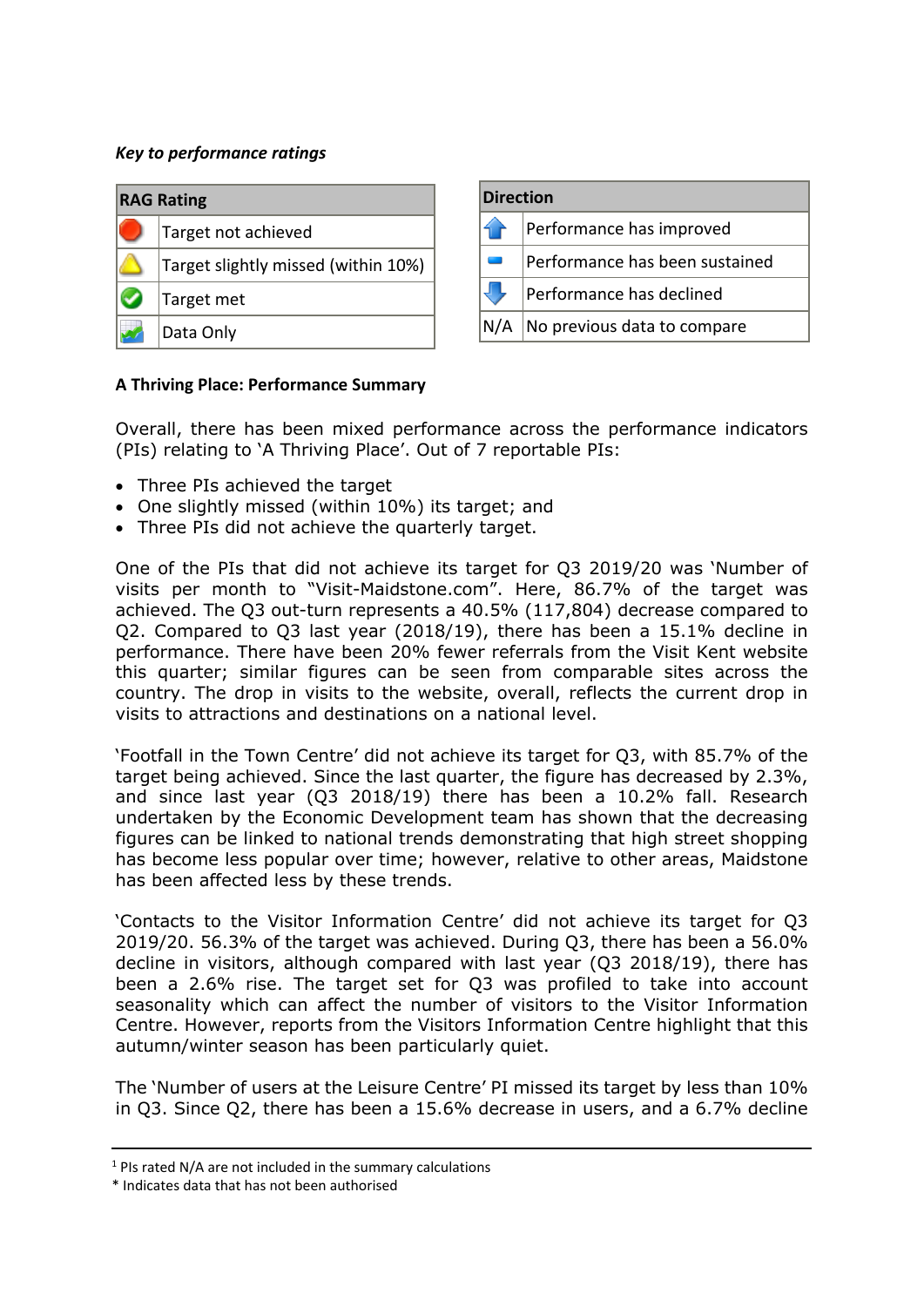### *Key to performance ratings*

| <b>RAG Rating</b>                   |
|-------------------------------------|
| Target not achieved                 |
| Target slightly missed (within 10%) |
| Target met                          |
| Data Only                           |

| <b>Direction</b> |                                |  |
|------------------|--------------------------------|--|
|                  | Performance has improved       |  |
|                  | Performance has been sustained |  |
|                  | Performance has declined       |  |
| N/A              | No previous data to compare    |  |

#### **A Thriving Place: Performance Summary**

Overall, there has been mixed performance across the performance indicators (PIs) relating to 'A Thriving Place'. Out of 7 reportable PIs:

- Three PIs achieved the target
- One slightly missed (within 10%) its target; and
- Three PIs did not achieve the quarterly target.

One of the PIs that did not achieve its target for Q3 2019/20 was 'Number of visits per month to "Visit-Maidstone.com". Here, 86.7% of the target was achieved. The Q3 out-turn represents a 40.5% (117,804) decrease compared to Q2. Compared to Q3 last year (2018/19), there has been a 15.1% decline in performance. There have been 20% fewer referrals from the Visit Kent website this quarter; similar figures can be seen from comparable sites across the country. The drop in visits to the website, overall, reflects the current drop in visits to attractions and destinations on a national level.

'Footfall in the Town Centre' did not achieve its target for Q3, with 85.7% of the target being achieved. Since the last quarter, the figure has decreased by 2.3%, and since last year (Q3 2018/19) there has been a 10.2% fall. Research undertaken by the Economic Development team has shown that the decreasing figures can be linked to national trends demonstrating that high street shopping has become less popular over time; however, relative to other areas, Maidstone has been affected less by these trends.

'Contacts to the Visitor Information Centre' did not achieve its target for Q3 2019/20. 56.3% of the target was achieved. During Q3, there has been a 56.0% decline in visitors, although compared with last year (Q3 2018/19), there has been a 2.6% rise. The target set for Q3 was profiled to take into account seasonality which can affect the number of visitors to the Visitor Information Centre. However, reports from the Visitors Information Centre highlight that this autumn/winter season has been particularly quiet.

The 'Number of users at the Leisure Centre' PI missed its target by less than 10% in Q3. Since Q2, there has been a 15.6% decrease in users, and a 6.7% decline

<sup>1</sup> PIs rated N/A are not included in the summary calculations

<sup>\*</sup> Indicates data that has not been authorised